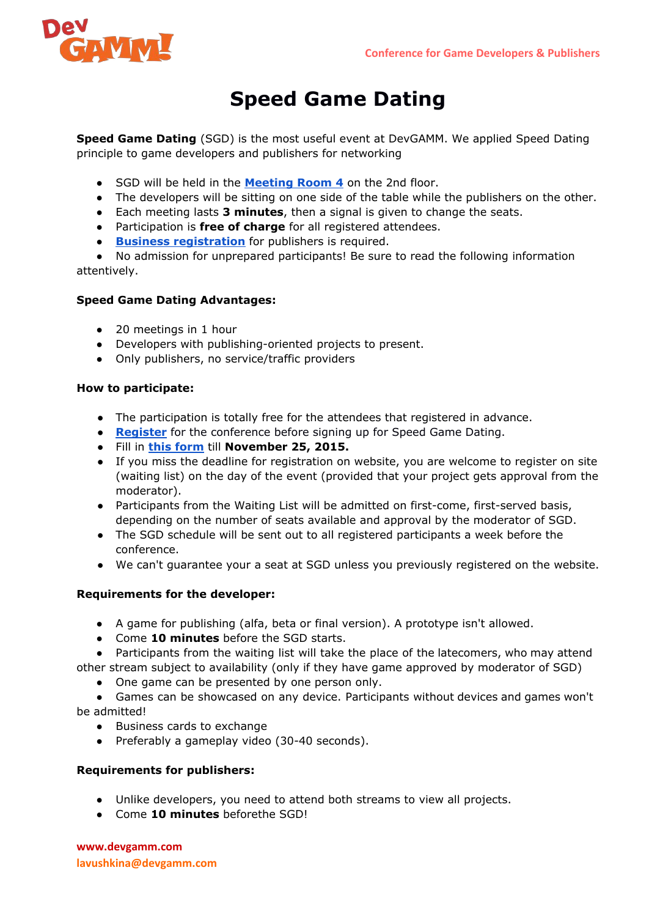

# **Speed Game Dating**

**Speed Game Dating**(SGD) is the most useful event at DevGAMM. We applied Speed Dating principle to game developers and publishers for networking

- SGD will be held in the **[Meeting](http://devgamm.com/minsk2015/images/map_venue_780_2.png) Room 4**on the 2nd floor.
- The developers will be sitting on one side of the table while the publishers on the other.
- Each meeting lasts **3 minutes**, then a signal is given to change the seats.
- Participation is **free of charge**for all registered attendees.
- **Business [registration](http://devgamm.com/minsk2015/en/attend/registration/)** for publishers is required.

● No admission for unprepared participants! Be sure to read the following information attentively.

## **Speed Game Dating Advantages:**

- 20 meetings in 1 hour
- Developers with publishing-oriented projects to present.
- Only publishers, no service/traffic providers

#### **How to participate:**

- The participation is totally free for the attendees that registered in advance.
- **[Register](http://devgamm.com/minsk2015/en/attend/registration/)** for the conference before signing up for Speed Game Dating.
- Fill in **this [form](http://devgamm.com/minsk2015/en/conference/sgd/)**till **November 25, 2015.**
- If you miss the deadline for registration on website, you are welcome to register on site (waiting list) on the day of the event (provided that your project gets approval from the moderator).
- Participants from the Waiting List will be admitted on first-come, first-served basis, depending on the number of seats available and approval by the moderator of SGD.
- The SGD schedule will be sent out to all registered participants a week before the conference.
- We can't guarantee your a seat at SGD unless you previously registered on the website.

### **Requirements for the developer:**

- A game for publishing (alfa, beta or final version). A prototype isn't allowed.
- Come **10 minutes**before the SGD starts.

● Participants from the waiting list will take the place of the latecomers, who may attend other stream subject to availability (only if they have game approved by moderator of SGD)

• One game can be presented by one person only.

● Games can be showcased on any device. Participants without devices and games won't be admitted!

- Business cards to exchange
- Preferably a gameplay video (30-40 seconds).

#### **Requirements for publishers:**

- Unlike developers, you need to attend both streams to view all projects.
- Come **10 minutes**beforethe SGD!